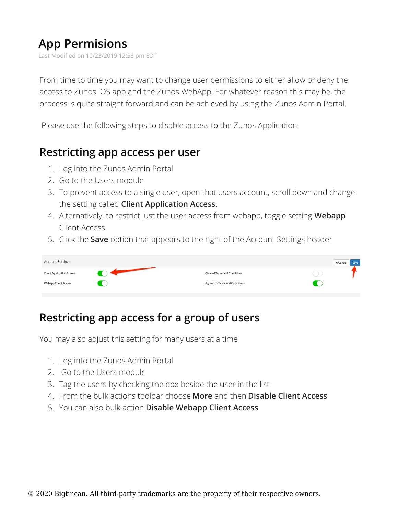## **App Permisions**

Last Modified on 10/23/2019 12:58 pm EDT

From time to time you may want to change user permissions to either allow or deny the access to Zunos iOS app and the Zunos WebApp. For whatever reason this may be, the process is quite straight forward and can be achieved by using the Zunos Admin Portal.

Please use the following steps to disable access to the Zunos Application:

## **Restricting app access per user**

- 1. Log into the Zunos Admin Portal
- 2. Go to the Users module
- 3. To prevent access to a single user, open that users account, scroll down and change the setting called **Client Application Access.**
- 4. Alternatively, to restrict just the user access from webapp, toggle setting **Webapp** Client Access
- 5. Click the **Save** option that appears to the right of the Account Settings header

| <b>Account Settings</b>          |                                       | $\times$ Cancel<br>Save |
|----------------------------------|---------------------------------------|-------------------------|
| <b>Client Application Access</b> | <b>Cleared Terms and Conditions</b>   |                         |
| <b>Webapp Client Access</b>      | <b>Agreed to Terms and Conditions</b> |                         |

## **Restricting app access for a group of users**

You may also adjust this setting for many users at a time

- 1. Log into the Zunos Admin Portal
- 2. Go to the Users module
- 3. Tag the users by checking the box beside the user in the list
- 4. From the bulk actions toolbar choose **More** and then **Disable Client Access**
- 5. You can also bulk action **Disable Webapp Client Access**